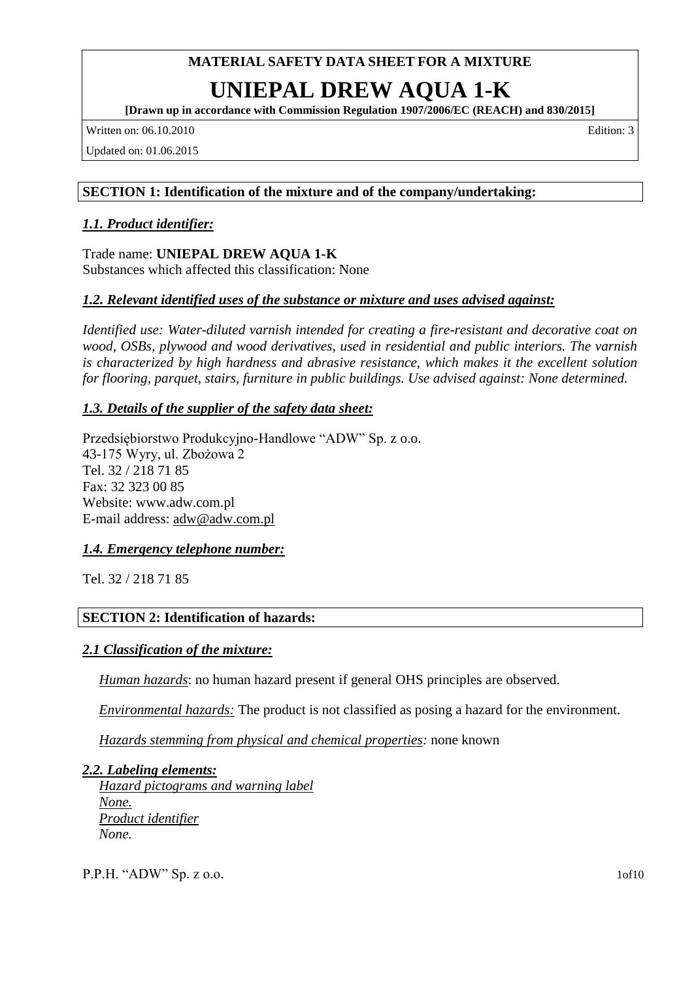## **UNIEPAL DREW AQUA 1-K**

**[Drawn up in accordance with Commission Regulation 1907/2006/EC (REACH) and 830/2015]**

Written on: 06.10.2010 Edition: 3

Updated on: 01.06.2015

#### **SECTION 1: Identification of the mixture and of the company/undertaking:**

#### *1.1. Product identifier:*

Trade name: **UNIEPAL DREW AQUA 1-K** Substances which affected this classification: None

### *1.2. Relevant identified uses of the substance or mixture and uses advised against:*

*Identified use: Water-diluted varnish intended for creating a fire-resistant and decorative coat on wood, OSBs, plywood and wood derivatives, used in residential and public interiors. The varnish is characterized by high hardness and abrasive resistance, which makes it the excellent solution for flooring, parquet, stairs, furniture in public buildings. Use advised against: None determined.*

#### *1.3. Details of the supplier of the safety data sheet:*

Przedsiębiorstwo Produkcyjno-Handlowe "ADW" Sp. z o.o. 43-175 Wyry, ul. Zbożowa 2 Tel. 32 / 218 71 85 Fax: 32 323 00 85 Website: www.adw.com.pl E-mail address: adw@adw.com.pl

#### *1.4. Emergency telephone number:*

Tel. 32 / 218 71 85

#### **SECTION 2: Identification of hazards:**

#### *2.1 Classification of the mixture:*

*Human hazards*: no human hazard present if general OHS principles are observed.

*Environmental hazards:* The product is not classified as posing a hazard for the environment.

*Hazards stemming from physical and chemical properties:* none known

#### *2.2. Labeling elements:*

*Hazard pictograms and warning label None. Product identifier None.*

P.P.H. "ADW" Sp. z o.o. 1of10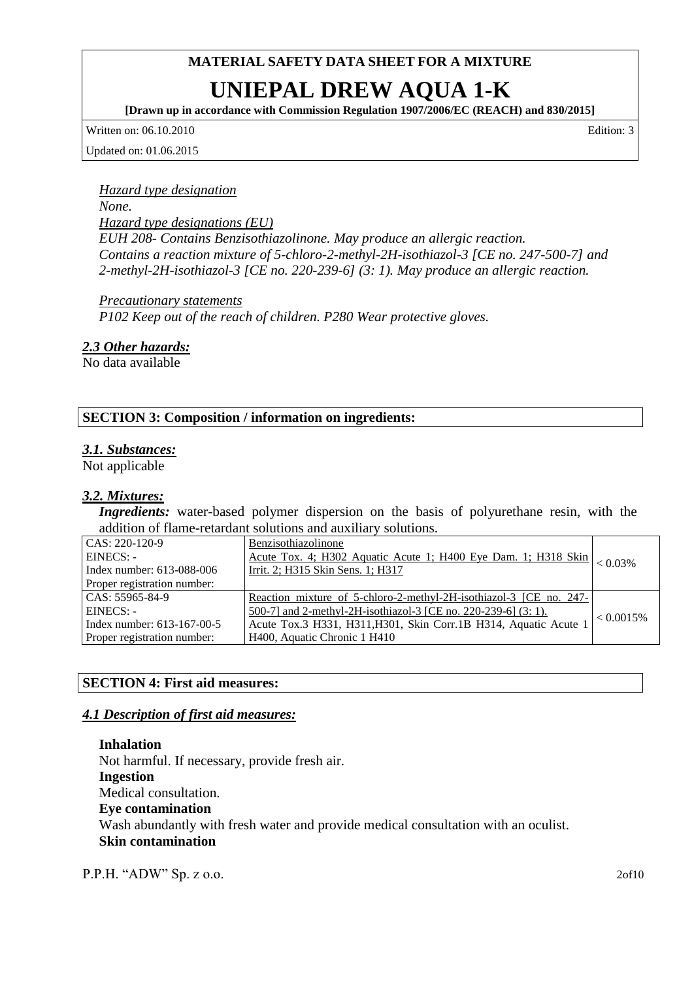## **UNIEPAL DREW AQUA 1-K**

**[Drawn up in accordance with Commission Regulation 1907/2006/EC (REACH) and 830/2015]**

Written on: 06.10.2010 Edition: 3

Updated on: 01.06.2015

## *Hazard type designation*

*None.*

*Hazard type designations (EU)*

*EUH 208- Contains Benzisothiazolinone. May produce an allergic reaction. Contains a reaction mixture of 5-chloro-2-methyl-2H-isothiazol-3 [CE no. 247-500-7] and 2-methyl-2H-isothiazol-3 [CE no. 220-239-6] (3: 1). May produce an allergic reaction.*

*Precautionary statements P102 Keep out of the reach of children. P280 Wear protective gloves.*

#### *2.3 Other hazards:*

No data available

#### **SECTION 3: Composition / information on ingredients:**

#### *3.1. Substances:*

Not applicable

#### *3.2. Mixtures:*

*Ingredients:* water-based polymer dispersion on the basis of polyurethane resin, with the addition of flame-retardant solutions and auxiliary solutions.

| CAS: 220-120-9               | Benzisothiazolinone                                                            |              |
|------------------------------|--------------------------------------------------------------------------------|--------------|
| EINECS: -                    | Acute Tox. 4; H302 Aquatic Acute 1; H400 Eye Dam. 1; H318 Skin $\vert$ < 0.03% |              |
| Index number: 613-088-006    | Irrit. 2; H315 Skin Sens. 1; H317                                              |              |
| Proper registration number:  |                                                                                |              |
| $CAS: 55965-84-9$            | Reaction mixture of 5-chloro-2-methyl-2H-isothiazol-3 [CE no. 247-]            |              |
| $EINECS: -$                  | <u>500-7]</u> and 2-methyl-2H-isothiazol-3 [CE no. 220-239-6] (3: 1).          | $< 0.0015\%$ |
| Index number: $613-167-00-5$ | Acute Tox.3 H331, H311, H301, Skin Corr.1B H314, Aquatic Acute 1               |              |
| Proper registration number:  | H400, Aquatic Chronic 1 H410                                                   |              |

#### **SECTION 4: First aid measures:**

#### *4.1 Description of first aid measures:*

**Inhalation** Not harmful. If necessary, provide fresh air. **Ingestion** Medical consultation. **Eye contamination** Wash abundantly with fresh water and provide medical consultation with an oculist. **Skin contamination**

P.P.H. "ADW" Sp. z o.o. 2of10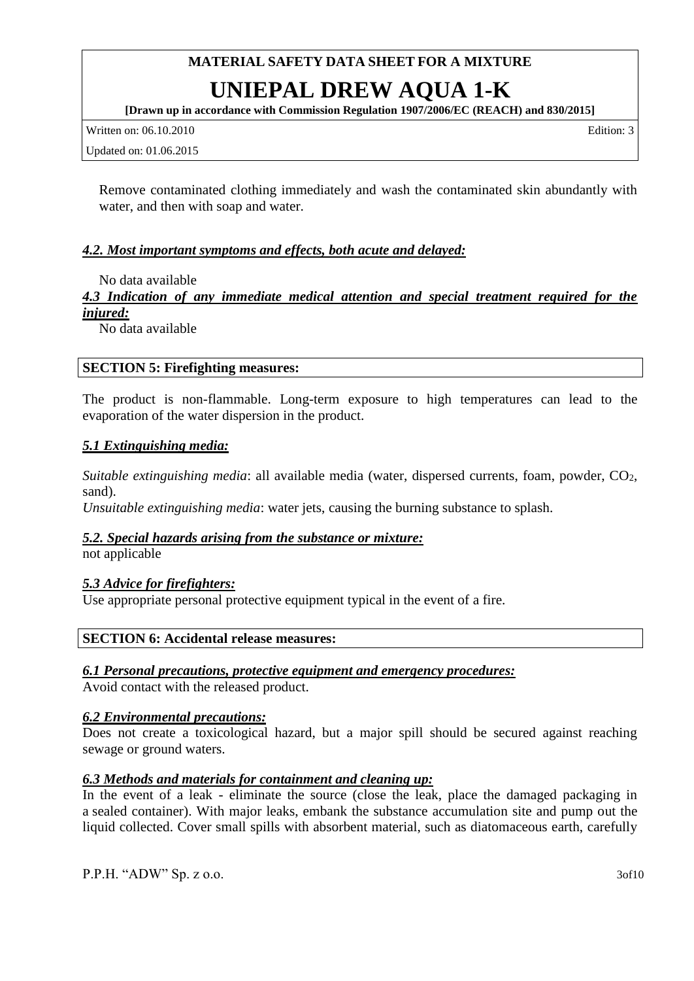## **UNIEPAL DREW AQUA 1-K**

**[Drawn up in accordance with Commission Regulation 1907/2006/EC (REACH) and 830/2015]**

Written on: 06.10.2010 Edition: 3

Updated on: 01.06.2015

Remove contaminated clothing immediately and wash the contaminated skin abundantly with water, and then with soap and water.

#### *4.2. Most important symptoms and effects, both acute and delayed:*

No data available

*4.3 Indication of any immediate medical attention and special treatment required for the injured:*

No data available

#### **SECTION 5: Firefighting measures:**

The product is non-flammable. Long-term exposure to high temperatures can lead to the evaporation of the water dispersion in the product.

#### *5.1 Extinguishing media:*

*Suitable extinguishing media: all available media (water, dispersed currents, foam, powder, CO<sub>2</sub>,* sand).

*Unsuitable extinguishing media*: water jets, causing the burning substance to splash.

#### *5.2. Special hazards arising from the substance or mixture:*

not applicable

#### *5.3 Advice for firefighters:*

Use appropriate personal protective equipment typical in the event of a fire.

#### **SECTION 6: Accidental release measures:**

#### *6.1 Personal precautions, protective equipment and emergency procedures:*

Avoid contact with the released product.

#### *6.2 Environmental precautions:*

Does not create a toxicological hazard, but a major spill should be secured against reaching sewage or ground waters.

#### *6.3 Methods and materials for containment and cleaning up:*

In the event of a leak - eliminate the source (close the leak, place the damaged packaging in a sealed container). With major leaks, embank the substance accumulation site and pump out the liquid collected. Cover small spills with absorbent material, such as diatomaceous earth, carefully

P.P.H. "ADW" Sp. z o.o. 3of10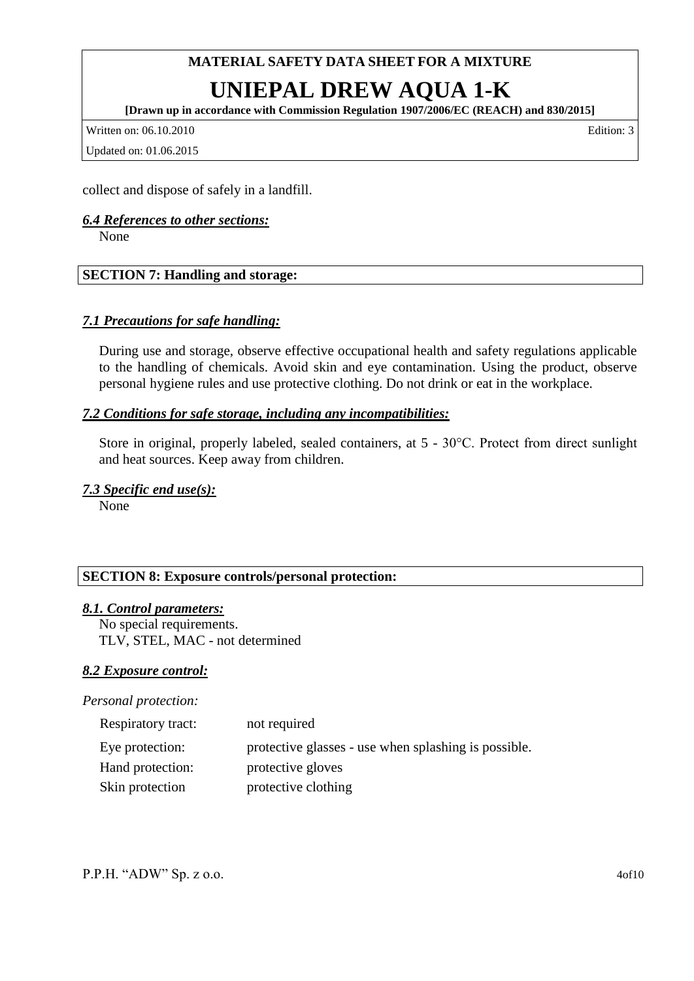## **UNIEPAL DREW AQUA 1-K**

**[Drawn up in accordance with Commission Regulation 1907/2006/EC (REACH) and 830/2015]**

Written on: 06.10.2010 Edition: 3

Updated on: 01.06.2015

collect and dispose of safely in a landfill.

#### *6.4 References to other sections:*

None

#### **SECTION 7: Handling and storage:**

#### *7.1 Precautions for safe handling:*

During use and storage, observe effective occupational health and safety regulations applicable to the handling of chemicals. Avoid skin and eye contamination. Using the product, observe personal hygiene rules and use protective clothing. Do not drink or eat in the workplace.

#### *7.2 Conditions for safe storage, including any incompatibilities:*

Store in original, properly labeled, sealed containers, at 5 - 30°C. Protect from direct sunlight and heat sources. Keep away from children.

#### *7.3 Specific end use(s):*

None

#### **SECTION 8: Exposure controls/personal protection:**

#### *8.1. Control parameters:*

No special requirements. TLV, STEL, MAC - not determined

#### *8.2 Exposure control:*

*Personal protection:*

| Respiratory tract: | not required                                         |
|--------------------|------------------------------------------------------|
| Eye protection:    | protective glasses - use when splashing is possible. |
| Hand protection:   | protective gloves                                    |
| Skin protection    | protective clothing                                  |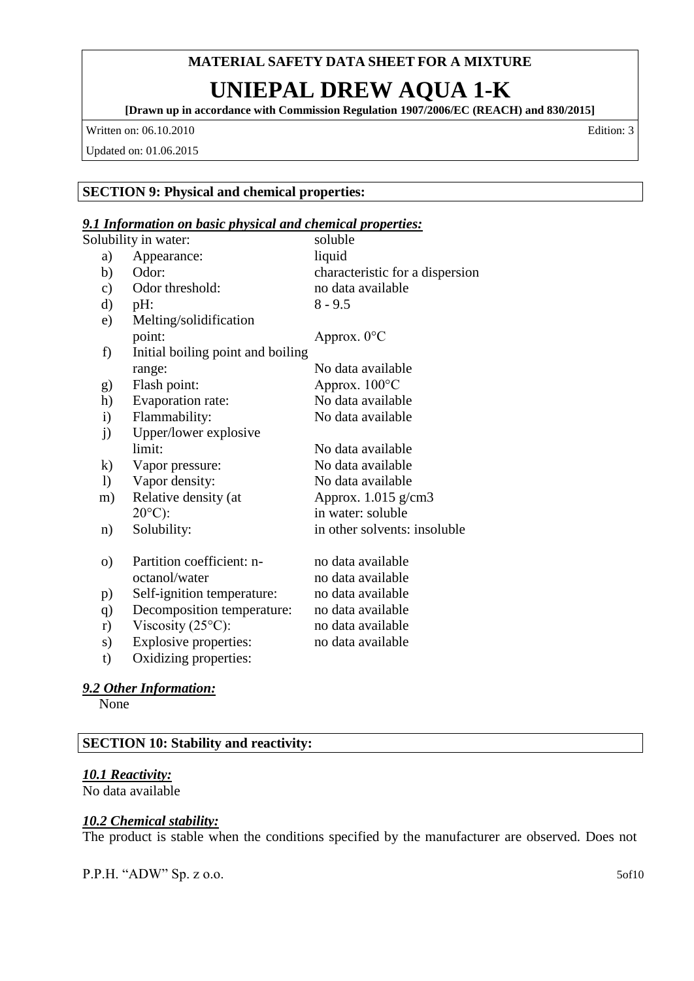## **UNIEPAL DREW AQUA 1-K**

**[Drawn up in accordance with Commission Regulation 1907/2006/EC (REACH) and 830/2015]**

Written on: 06.10.2010 Edition: 3

Updated on: 01.06.2015

#### **SECTION 9: Physical and chemical properties:**

#### *9.1 Information on basic physical and chemical properties:*

| Solubility in water: |                                   | soluble                         |  |
|----------------------|-----------------------------------|---------------------------------|--|
| a)                   | Appearance:                       | liquid                          |  |
| b)                   | Odor:                             | characteristic for a dispersion |  |
| c)                   | Odor threshold:                   | no data available               |  |
| d)                   | pH:                               | $8 - 9.5$                       |  |
| e)                   | Melting/solidification            |                                 |  |
|                      | point:                            | Approx. 0°C                     |  |
| f)                   | Initial boiling point and boiling |                                 |  |
|                      | range:                            | No data available               |  |
| g)                   | Flash point:                      | Approx. $100^{\circ}$ C         |  |
| h)                   | Evaporation rate:                 | No data available               |  |
| $\mathbf{i}$         | Flammability:                     | No data available               |  |
| j)                   | Upper/lower explosive             |                                 |  |
|                      | limit:                            | No data available               |  |
| $\bf k)$             | Vapor pressure:                   | No data available               |  |
| $\left( \right)$     | Vapor density:                    | No data available               |  |
| m)                   | Relative density (at              | Approx. $1.015$ g/cm3           |  |
|                      | $20^{\circ}$ C):                  | in water: soluble               |  |
| n)                   | Solubility:                       | in other solvents: insoluble    |  |
| $\Omega$             | Partition coefficient: n-         | no data available               |  |
|                      | octanol/water                     | no data available               |  |
| p)                   | Self-ignition temperature:        | no data available               |  |
| q)                   | Decomposition temperature:        | no data available               |  |
| r)                   | Viscosity $(25^{\circ}C)$ :       | no data available               |  |
| s)                   | Explosive properties:             | no data available               |  |
| t)                   | Oxidizing properties:             |                                 |  |

#### *9.2 Other Information:*

None

#### **SECTION 10: Stability and reactivity:**

#### *10.1 Reactivity:*

No data available

#### *10.2 Chemical stability:*

The product is stable when the conditions specified by the manufacturer are observed. Does not

P.P.H. "ADW" Sp. z o.o. 5of10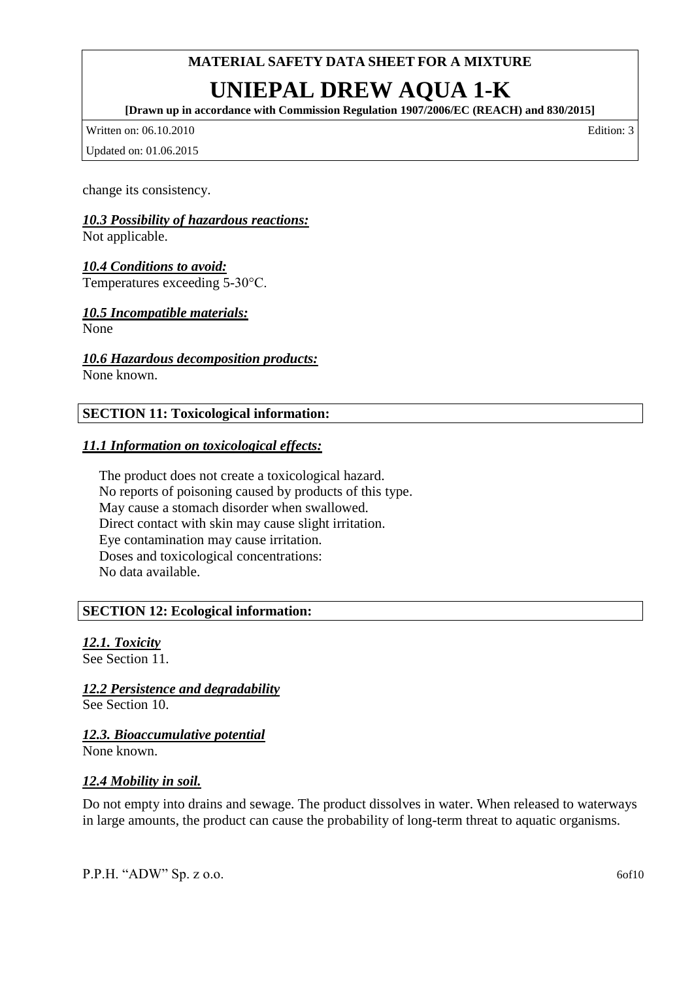# **UNIEPAL DREW AQUA 1-K**

**[Drawn up in accordance with Commission Regulation 1907/2006/EC (REACH) and 830/2015]**

Written on: 06.10.2010 Edition: 3

Updated on: 01.06.2015

change its consistency.

#### *10.3 Possibility of hazardous reactions:*

Not applicable.

*10.4 Conditions to avoid:* Temperatures exceeding 5-30°C.

#### *10.5 Incompatible materials:*

None

*10.6 Hazardous decomposition products:*

None known.

#### **SECTION 11: Toxicological information:**

#### *11.1 Information on toxicological effects:*

The product does not create a toxicological hazard. No reports of poisoning caused by products of this type. May cause a stomach disorder when swallowed. Direct contact with skin may cause slight irritation. Eye contamination may cause irritation. Doses and toxicological concentrations: No data available.

#### **SECTION 12: Ecological information:**

#### *12.1. Toxicity* See Section 11.

*12.2 Persistence and degradability*

See Section 10.

*12.3. Bioaccumulative potential*

None known.

#### *12.4 Mobility in soil.*

Do not empty into drains and sewage. The product dissolves in water. When released to waterways in large amounts, the product can cause the probability of long-term threat to aquatic organisms.

P.P.H. "ADW" Sp. z o.o. 60f10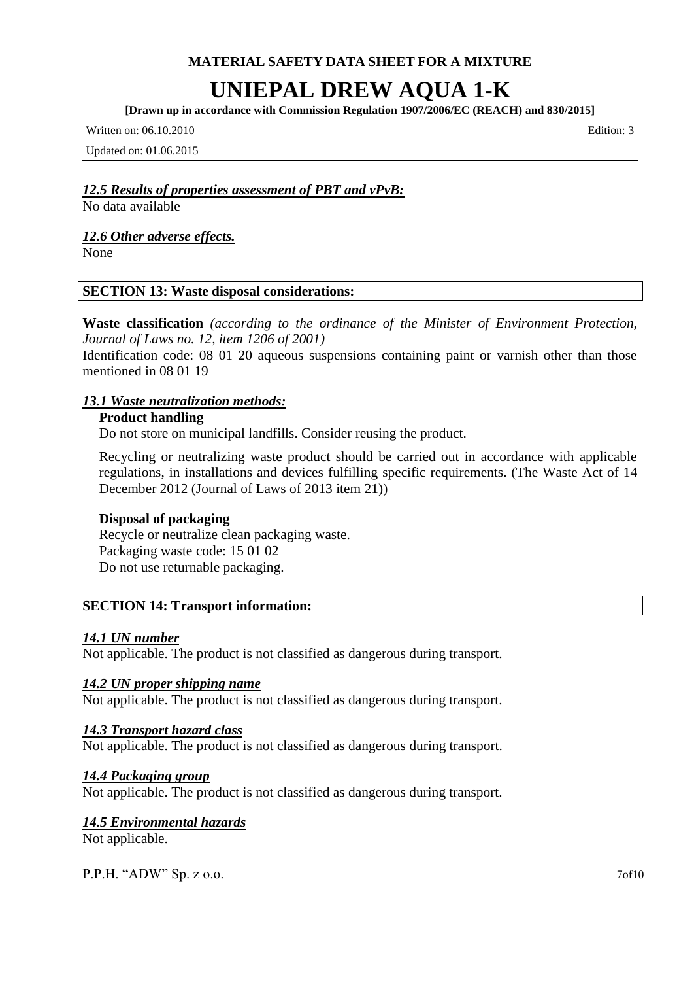# **UNIEPAL DREW AQUA 1-K**

**[Drawn up in accordance with Commission Regulation 1907/2006/EC (REACH) and 830/2015]**

Written on: 06.10.2010 **Edition: 3** 

Updated on: 01.06.2015

#### *12.5 Results of properties assessment of PBT and vPvB:*

No data available

#### *12.6 Other adverse effects.*

None

#### **SECTION 13: Waste disposal considerations:**

**Waste classification** *(according to the ordinance of the Minister of Environment Protection, Journal of Laws no. 12, item 1206 of 2001)*

Identification code: 08 01 20 aqueous suspensions containing paint or varnish other than those mentioned in 08 01 19

#### *13.1 Waste neutralization methods:*

#### **Product handling**

Do not store on municipal landfills. Consider reusing the product.

Recycling or neutralizing waste product should be carried out in accordance with applicable regulations, in installations and devices fulfilling specific requirements. (The Waste Act of 14 December 2012 (Journal of Laws of 2013 item 21))

#### **Disposal of packaging**

Recycle or neutralize clean packaging waste. Packaging waste code: 15 01 02 Do not use returnable packaging.

#### **SECTION 14: Transport information:**

#### *14.1 UN number*

Not applicable. The product is not classified as dangerous during transport.

#### *14.2 UN proper shipping name*

Not applicable. The product is not classified as dangerous during transport.

#### *14.3 Transport hazard class*

Not applicable. The product is not classified as dangerous during transport.

#### *14.4 Packaging group*

Not applicable. The product is not classified as dangerous during transport.

#### *14.5 Environmental hazards*

Not applicable.

P.P.H. "ADW" Sp. z o.o. 70f10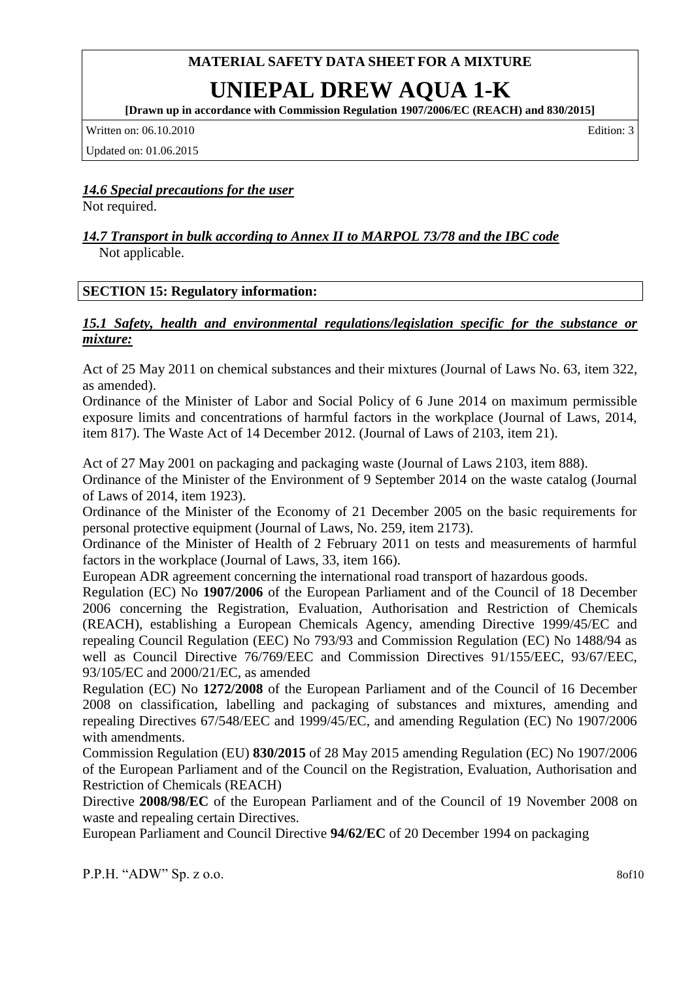## **UNIEPAL DREW AQUA 1-K**

**[Drawn up in accordance with Commission Regulation 1907/2006/EC (REACH) and 830/2015]**

Written on: 06.10.2010 Edition: 3

Updated on: 01.06.2015

### *14.6 Special precautions for the user*

Not required.

#### *14.7 Transport in bulk according to Annex II to MARPOL 73/78 and the IBC code* Not applicable.

#### **SECTION 15: Regulatory information:**

#### *15.1 Safety, health and environmental regulations/legislation specific for the substance or mixture:*

Act of 25 May 2011 on chemical substances and their mixtures (Journal of Laws No. 63, item 322, as amended).

Ordinance of the Minister of Labor and Social Policy of 6 June 2014 on maximum permissible exposure limits and concentrations of harmful factors in the workplace (Journal of Laws, 2014, item 817). The Waste Act of 14 December 2012. (Journal of Laws of 2103, item 21).

Act of 27 May 2001 on packaging and packaging waste (Journal of Laws 2103, item 888).

Ordinance of the Minister of the Environment of 9 September 2014 on the waste catalog (Journal of Laws of 2014, item 1923).

Ordinance of the Minister of the Economy of 21 December 2005 on the basic requirements for personal protective equipment (Journal of Laws, No. 259, item 2173).

Ordinance of the Minister of Health of 2 February 2011 on tests and measurements of harmful factors in the workplace (Journal of Laws, 33, item 166).

European ADR agreement concerning the international road transport of hazardous goods.

Regulation (EC) No **1907/2006** of the European Parliament and of the Council of 18 December 2006 concerning the Registration, Evaluation, Authorisation and Restriction of Chemicals (REACH), establishing a European Chemicals Agency, amending Directive 1999/45/EC and repealing Council Regulation (EEC) No 793/93 and Commission Regulation (EC) No 1488/94 as well as Council Directive 76/769/EEC and Commission Directives 91/155/EEC, 93/67/EEC, 93/105/EC and 2000/21/EC, as amended

Regulation (EC) No **1272/2008** of the European Parliament and of the Council of 16 December 2008 on classification, labelling and packaging of substances and mixtures, amending and repealing Directives 67/548/EEC and 1999/45/EC, and amending Regulation (EC) No 1907/2006 with amendments.

Commission Regulation (EU) **830/2015** of 28 May 2015 amending Regulation (EC) No 1907/2006 of the European Parliament and of the Council on the Registration, Evaluation, Authorisation and Restriction of Chemicals (REACH)

Directive **2008/98/EC** of the European Parliament and of the Council of 19 November 2008 on waste and repealing certain Directives.

European Parliament and Council Directive **94/62/EC** of 20 December 1994 on packaging

P.P.H. "ADW" Sp. z o.o. 8of10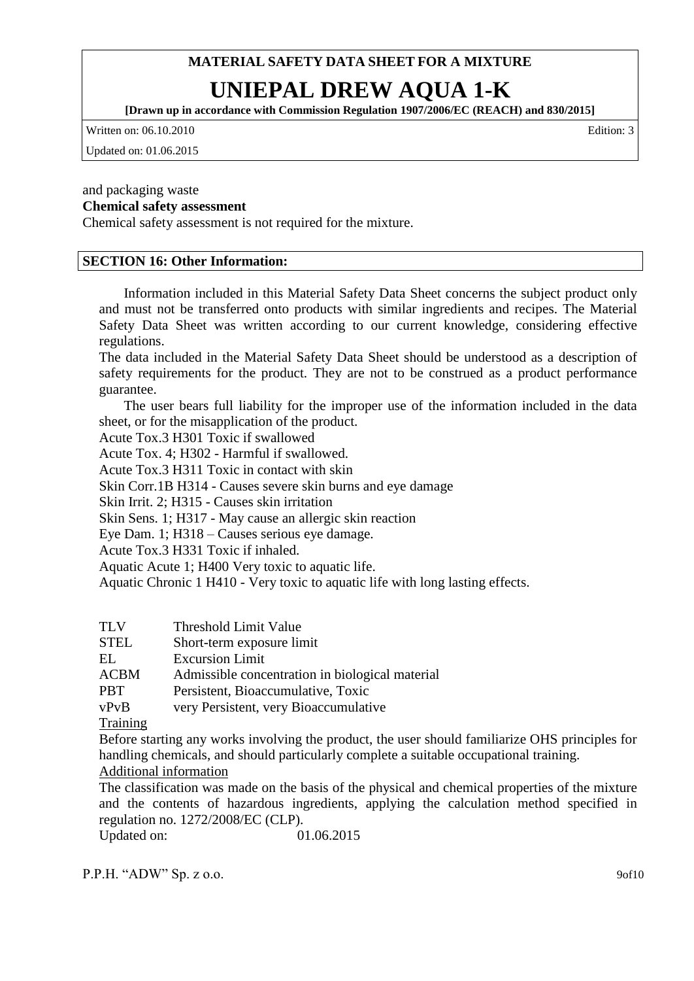## **UNIEPAL DREW AQUA 1-K**

**[Drawn up in accordance with Commission Regulation 1907/2006/EC (REACH) and 830/2015]**

Written on: 06.10.2010 Edition: 3

Updated on: 01.06.2015

#### and packaging waste **Chemical safety assessment**

Chemical safety assessment is not required for the mixture.

#### **SECTION 16: Other Information:**

Information included in this Material Safety Data Sheet concerns the subject product only and must not be transferred onto products with similar ingredients and recipes. The Material Safety Data Sheet was written according to our current knowledge, considering effective regulations.

The data included in the Material Safety Data Sheet should be understood as a description of safety requirements for the product. They are not to be construed as a product performance guarantee.

The user bears full liability for the improper use of the information included in the data sheet, or for the misapplication of the product.

Acute Tox.3 H301 Toxic if swallowed

Acute Tox. 4; H302 - Harmful if swallowed.

Acute Tox.3 H311 Toxic in contact with skin

Skin Corr.1B H314 - Causes severe skin burns and eye damage

Skin Irrit. 2; H315 - Causes skin irritation

Skin Sens. 1; H317 - May cause an allergic skin reaction

Eye Dam. 1; H318 – Causes serious eye damage.

Acute Tox.3 H331 Toxic if inhaled.

Aquatic Acute 1; H400 Very toxic to aquatic life.

Aquatic Chronic 1 H410 - Very toxic to aquatic life with long lasting effects.

|  | TLV | Threshold Limit Value |  |
|--|-----|-----------------------|--|
|--|-----|-----------------------|--|

STEL Short-term exposure limit

EL Excursion Limit

ACBM Admissible concentration in biological material

PBT Persistent, Bioaccumulative, Toxic

vPvB very Persistent, very Bioaccumulative

**Training** 

Before starting any works involving the product, the user should familiarize OHS principles for handling chemicals, and should particularly complete a suitable occupational training. Additional information

The classification was made on the basis of the physical and chemical properties of the mixture and the contents of hazardous ingredients, applying the calculation method specified in regulation no. 1272/2008/EC (CLP).

Updated on: 01.06.2015